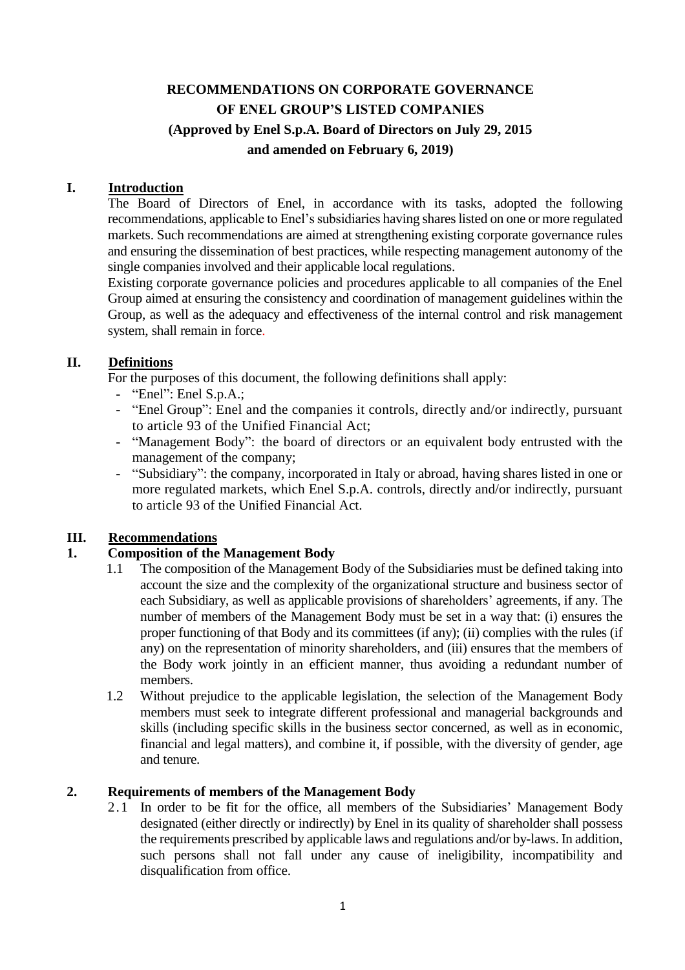# **RECOMMENDATIONS ON CORPORATE GOVERNANCE OF ENEL GROUP'S LISTED COMPANIES (Approved by Enel S.p.A. Board of Directors on July 29, 2015 and amended on February 6, 2019)**

## **I. Introduction**

The Board of Directors of Enel, in accordance with its tasks, adopted the following recommendations, applicable to Enel's subsidiaries having shares listed on one or more regulated markets. Such recommendations are aimed at strengthening existing corporate governance rules and ensuring the dissemination of best practices, while respecting management autonomy of the single companies involved and their applicable local regulations.

Existing corporate governance policies and procedures applicable to all companies of the Enel Group aimed at ensuring the consistency and coordination of management guidelines within the Group, as well as the adequacy and effectiveness of the internal control and risk management system, shall remain in force.

## **II. Definitions**

For the purposes of this document, the following definitions shall apply:

- "Enel": Enel S.p.A.;
- "Enel Group": Enel and the companies it controls, directly and/or indirectly, pursuant to article 93 of the Unified Financial Act;
- "Management Body": the board of directors or an equivalent body entrusted with the management of the company;
- "Subsidiary": the company, incorporated in Italy or abroad, having shares listed in one or more regulated markets, which Enel S.p.A. controls, directly and/or indirectly, pursuant to article 93 of the Unified Financial Act.

#### **III. Recommendations**

#### **1. Composition of the Management Body**

- 1.1 The composition of the Management Body of the Subsidiaries must be defined taking into account the size and the complexity of the organizational structure and business sector of each Subsidiary, as well as applicable provisions of shareholders' agreements, if any. The number of members of the Management Body must be set in a way that: (i) ensures the proper functioning of that Body and its committees (if any); (ii) complies with the rules (if any) on the representation of minority shareholders, and (iii) ensures that the members of the Body work jointly in an efficient manner, thus avoiding a redundant number of members.
- 1.2 Without prejudice to the applicable legislation, the selection of the Management Body members must seek to integrate different professional and managerial backgrounds and skills (including specific skills in the business sector concerned, as well as in economic, financial and legal matters), and combine it, if possible, with the diversity of gender, age and tenure.

#### **2. Requirements of members of the Management Body**

2.1 In order to be fit for the office, all members of the Subsidiaries' Management Body designated (either directly or indirectly) by Enel in its quality of shareholder shall possess the requirements prescribed by applicable laws and regulations and/or by-laws. In addition, such persons shall not fall under any cause of ineligibility, incompatibility and disqualification from office.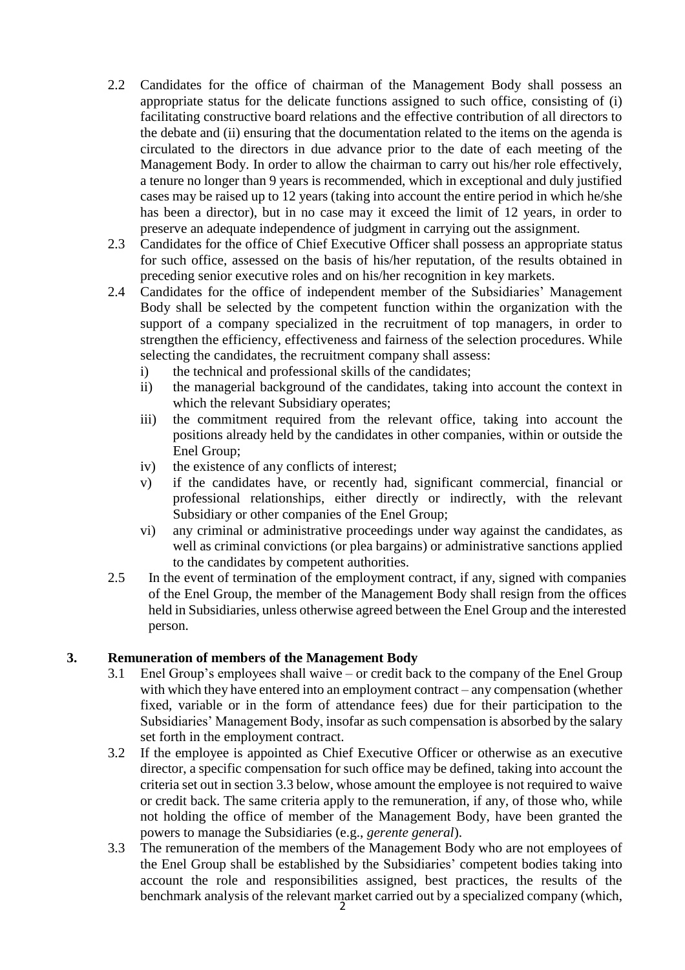- 2.2 Candidates for the office of chairman of the Management Body shall possess an appropriate status for the delicate functions assigned to such office, consisting of (i) facilitating constructive board relations and the effective contribution of all directors to the debate and (ii) ensuring that the documentation related to the items on the agenda is circulated to the directors in due advance prior to the date of each meeting of the Management Body. In order to allow the chairman to carry out his/her role effectively, a tenure no longer than 9 years is recommended, which in exceptional and duly justified cases may be raised up to 12 years (taking into account the entire period in which he/she has been a director), but in no case may it exceed the limit of 12 years, in order to preserve an adequate independence of judgment in carrying out the assignment.
- 2.3 Candidates for the office of Chief Executive Officer shall possess an appropriate status for such office, assessed on the basis of his/her reputation, of the results obtained in preceding senior executive roles and on his/her recognition in key markets.
- 2.4 Candidates for the office of independent member of the Subsidiaries' Management Body shall be selected by the competent function within the organization with the support of a company specialized in the recruitment of top managers, in order to strengthen the efficiency, effectiveness and fairness of the selection procedures. While selecting the candidates, the recruitment company shall assess:
	- i) the technical and professional skills of the candidates;
	- ii) the managerial background of the candidates, taking into account the context in which the relevant Subsidiary operates;
	- iii) the commitment required from the relevant office, taking into account the positions already held by the candidates in other companies, within or outside the Enel Group;
	- iv) the existence of any conflicts of interest;
	- v) if the candidates have, or recently had, significant commercial, financial or professional relationships, either directly or indirectly, with the relevant Subsidiary or other companies of the Enel Group;
	- vi) any criminal or administrative proceedings under way against the candidates, as well as criminal convictions (or plea bargains) or administrative sanctions applied to the candidates by competent authorities.
- 2.5 In the event of termination of the employment contract, if any, signed with companies of the Enel Group, the member of the Management Body shall resign from the offices held in Subsidiaries, unless otherwise agreed between the Enel Group and the interested person.

#### **3. Remuneration of members of the Management Body**

- 3.1 Enel Group's employees shall waive or credit back to the company of the Enel Group with which they have entered into an employment contract – any compensation (whether fixed, variable or in the form of attendance fees) due for their participation to the Subsidiaries' Management Body, insofar as such compensation is absorbed by the salary set forth in the employment contract.
- 3.2 If the employee is appointed as Chief Executive Officer or otherwise as an executive director, a specific compensation for such office may be defined, taking into account the criteria set out in section 3.3 below, whose amount the employee is not required to waive or credit back. The same criteria apply to the remuneration, if any, of those who, while not holding the office of member of the Management Body, have been granted the powers to manage the Subsidiaries (e.g., *gerente general*).
- 3.3 The remuneration of the members of the Management Body who are not employees of the Enel Group shall be established by the Subsidiaries' competent bodies taking into account the role and responsibilities assigned, best practices, the results of the benchmark analysis of the relevant market carried out by a specialized company (which,